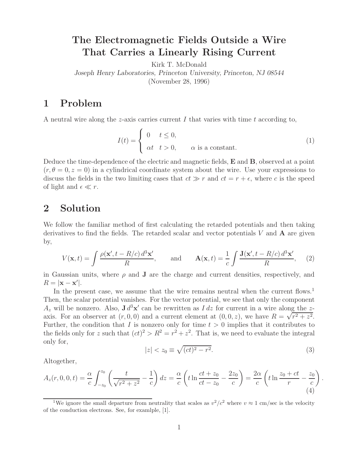## **The Electromagnetic Fields Outside a Wire That Carries a Linearly Rising Current**

Kirk T. McDonald

*Joseph Henry Laboratories, Princeton University, Princeton, NJ 08544*

(November 28, 1996)

## **1 Problem**

A neutral wire along the z-axis carries current  $I$  that varies with time  $t$  according to,

$$
I(t) = \begin{cases} 0 & t \le 0, \\ \alpha t & t > 0, \end{cases}
$$
  $\alpha$  is a constant. (1)

Deduce the time-dependence of the electric and magnetic fields, **E** and **B**, observed at a point  $(r, \theta = 0, z = 0)$  in a cylindrical coordinate system about the wire. Use your expressions to discuss the fields in the two limiting cases that  $ct \gg r$  and  $ct = r + \epsilon$ , where c is the speed of light and  $\epsilon \ll r$ .

## **2 Solution**

We follow the familiar method of first calculating the retarded potentials and then taking derivatives to find the fields. The retarded scalar and vector potentials V and **A** are given by,

$$
V(\mathbf{x},t) = \int \frac{\rho(\mathbf{x}',t - R/c) d^3 \mathbf{x}'}{R}, \quad \text{and} \quad \mathbf{A}(\mathbf{x},t) = \frac{1}{c} \int \frac{\mathbf{J}(\mathbf{x}',t - R/c) d^3 \mathbf{x}'}{R}, \quad (2)
$$

in Gaussian units, where  $\rho$  and **J** are the charge and current densities, respectively, and  $R = |\mathbf{x} - \mathbf{x}'|$ .

In the present case, we assume that the wire remains neutral when the current flows.<sup>1</sup> Then, the scalar potential vanishes. For the vector potential, we see that only the component  $A_z$  will be nonzero. Also,  $J d^3x'$  can be rewritten as  $I dz$  for current in a wire along the zaxis. For an observer at  $(r, 0, 0)$  and a current element at  $(0, 0, z)$ , we have  $R = \sqrt{r^2 + z^2}$ . Further, the condition that I is nonzero only for time  $t > 0$  implies that it contributes to the fields only for z such that  $(ct)^2 > R^2 = r^2 + z^2$ . That is, we need to evaluate the integral only for,

$$
|z| < z_0 \equiv \sqrt{(ct)^2 - r^2}.\tag{3}
$$

Altogether,

$$
A_z(r,0,0,t) = \frac{\alpha}{c} \int_{-z_0}^{z_0} \left( \frac{t}{\sqrt{r^2 + z^2}} - \frac{1}{c} \right) dz = \frac{\alpha}{c} \left( t \ln \frac{ct + z_0}{ct - z_0} - \frac{2z_0}{c} \right) = \frac{2\alpha}{c} \left( t \ln \frac{z_0 + ct}{r} - \frac{z_0}{c} \right).
$$
\n(4)

<sup>&</sup>lt;sup>1</sup>We ignore the small departure from neutrality that scales as  $v^2/c^2$  where  $v \approx 1$  cm/sec is the velocity of the conduction electrons. See, for examlple, [1].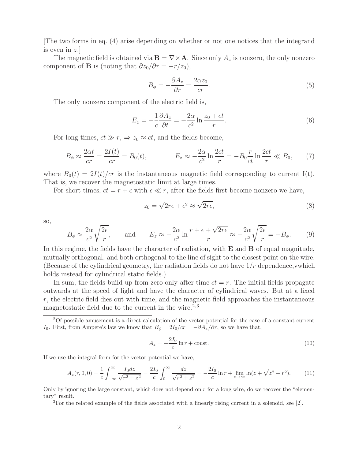[The two forms in eq. (4) arise depending on whether or not one notices that the integrand is even in  $z$ .

The magnetic field is obtained via  $\mathbf{B} = \nabla \times \mathbf{A}$ . Since only  $A_z$  is nonzero, the only nonzero component of **B** is (noting that  $\partial z_0/\partial r = -r/z_0$ ),

$$
B_{\phi} = -\frac{\partial A_z}{\partial r} = \frac{2\alpha z_0}{cr}.
$$
\n(5)

The only nonzero component of the electric field is,

$$
E_z = -\frac{1}{c} \frac{\partial A_z}{\partial t} = -\frac{2\alpha}{c^2} \ln \frac{z_0 + ct}{r}.
$$
 (6)

For long times,  $ct \gg r$ ,  $\Rightarrow z_0 \approx ct$ , and the fields become,

$$
B_{\phi} \approx \frac{2\alpha t}{cr} = \frac{2I(t)}{cr} = B_0(t), \qquad E_z \approx -\frac{2\alpha}{c^2} \ln \frac{2ct}{r} = -B_0 \frac{r}{ct} \ln \frac{2ct}{r} \ll B_0,\tag{7}
$$

where  $B_0(t)=2I(t)/cr$  is the instantaneous magnetic field corresponding to current I(t). That is, we recover the magnetostatic limit at large times.

For short times,  $ct = r + \epsilon$  with  $\epsilon \ll r$ , after the fields first become nonzero we have,

$$
z_0 = \sqrt{2r\epsilon + \epsilon^2} \approx \sqrt{2r\epsilon},\tag{8}
$$

so,

$$
B_{\phi} \approx \frac{2\alpha}{c^2} \sqrt{\frac{2\epsilon}{r}}, \quad \text{and} \quad E_z \approx -\frac{2\alpha}{c^2} \ln \frac{r + \epsilon + \sqrt{2r\epsilon}}{r} \approx -\frac{2\alpha}{c^2} \sqrt{\frac{2\epsilon}{r}} = -B_{\phi}. \quad (9)
$$

In this regime, the fields have the character of radiation, with **E** and **B** of equal magnitude, mutually orthogonal, and both orthogonal to the line of sight to the closest point on the wire. (Because of the cylindrical geometry, the radiation fields do not have  $1/r$  dependence, which holds instead for cylindrical static fields.)

In sum, the fields build up from zero only after time  $ct = r$ . The initial fields propagate outwards at the speed of light and have the character of cylindrical waves. But at a fixed  $r$ , the electric field dies out with time, and the magnetic field approaches the instantaneous magnetostatic field due to the current in the wire.<sup>2,3</sup>

$$
A_z = -\frac{2I_0}{c} \ln r + \text{const.} \tag{10}
$$

If we use the integral form for the vector potential we have,

$$
A_z(r,0,0) = \frac{1}{c} \int_{-\infty}^{\infty} \frac{I_0 dz}{\sqrt{r^2 + z^2}} = \frac{2I_0}{c} \int_0^{\infty} \frac{dz}{\sqrt{r^2 + z^2}} = -\frac{2I_0}{c} \ln r + \lim_{z \to \infty} \ln(z + \sqrt{z^2 + r^2}).\tag{11}
$$

Only by ignoring the large constant, which does not depend on  $r$  for a long wire, do we recover the "elementary" result.

<sup>3</sup>For the related example of the fields associated with a linearly rising current in a solenoid, see [2].

<sup>2</sup>Of possible amusement is a direct calculation of the vector potential for the case of a constant current I<sub>0</sub>. First, from Ampere's law we know that  $B_{\phi} = 2I_0/cr = -\partial A_z/\partial r$ , so we have that,